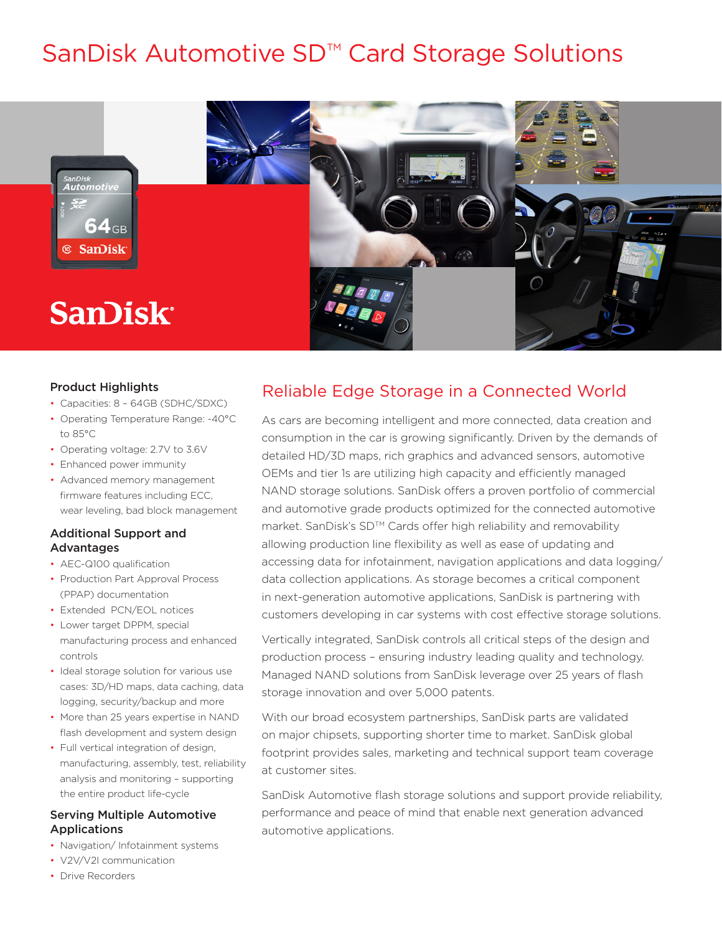# SanDisk Automotive SD<sup>™</sup> Card Storage Solutions



### Product Highlights

- Capacities: 8 64GB (SDHC/SDXC)
- Operating Temperature Range: -40°C to 85°C
- Operating voltage: 2.7V to 3.6V
- Enhanced power immunity
- Advanced memory management firmware features including ECC, wear leveling, bad block management

### Additional Support and **Advantages**

- AEC-Q100 qualification
- Production Part Approval Process (PPAP) documentation
- Extended PCN/EOL notices
- Lower target DPPM, special manufacturing process and enhanced controls
- Ideal storage solution for various use cases: 3D/HD maps, data caching, data logging, security/backup and more
- More than 25 years expertise in NAND flash development and system design
- Full vertical integration of design, manufacturing, assembly, test, reliability analysis and monitoring – supporting the entire product life-cycle

### Serving Multiple Automotive Applications

- Navigation/ Infotainment systems
- V2V/V2I communication
- Drive Recorders

### Reliable Edge Storage in a Connected World

As cars are becoming intelligent and more connected, data creation and consumption in the car is growing significantly. Driven by the demands of detailed HD/3D maps, rich graphics and advanced sensors, automotive OEMs and tier 1s are utilizing high capacity and efficiently managed NAND storage solutions. SanDisk offers a proven portfolio of commercial and automotive grade products optimized for the connected automotive market. SanDisk's SD™ Cards offer high reliability and removability allowing production line flexibility as well as ease of updating and accessing data for infotainment, navigation applications and data logging/ data collection applications. As storage becomes a critical component in next-generation automotive applications, SanDisk is partnering with customers developing in car systems with cost effective storage solutions.

Vertically integrated, SanDisk controls all critical steps of the design and production process – ensuring industry leading quality and technology. Managed NAND solutions from SanDisk leverage over 25 years of flash storage innovation and over 5,000 patents.

With our broad ecosystem partnerships, SanDisk parts are validated on major chipsets, supporting shorter time to market. SanDisk global footprint provides sales, marketing and technical support team coverage at customer sites.

SanDisk Automotive flash storage solutions and support provide reliability, performance and peace of mind that enable next generation advanced automotive applications.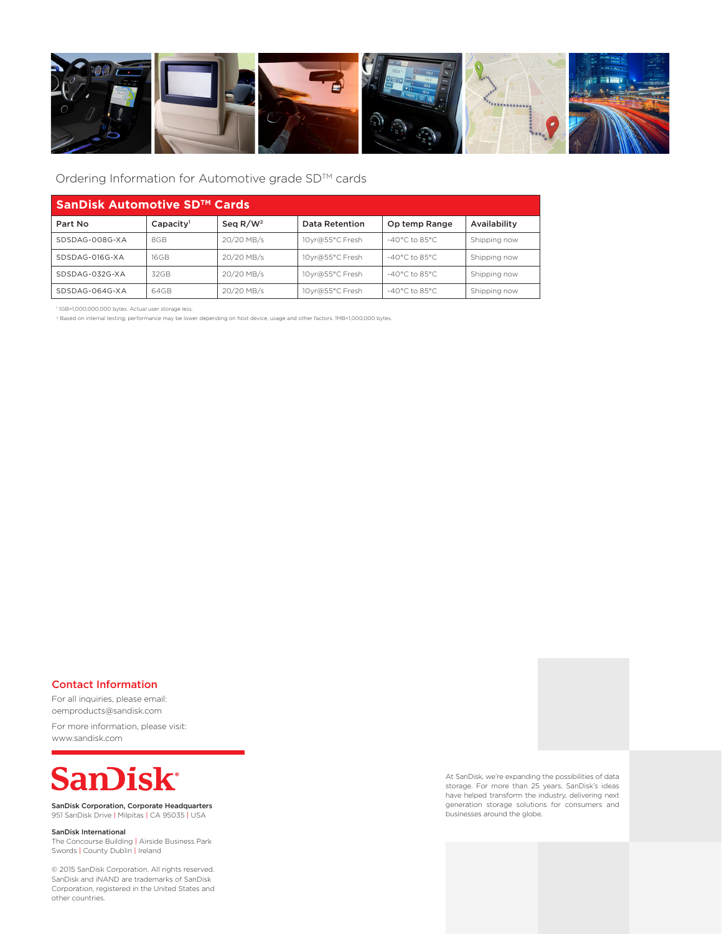

### Ordering Information for Automotive grade SD™ cards

| SanDisk Automotive SD™ Cards |                       |             |                 |                          |              |
|------------------------------|-----------------------|-------------|-----------------|--------------------------|--------------|
| Part No                      | Capacity <sup>1</sup> | Seq $R/W^2$ | Data Retention  | Op temp Range            | Availability |
| SDSDAG-008G-XA               | 8GB                   | 20/20 MB/s  | 10yr@55°C Fresh | $-40^{\circ}$ C to 85°C. | Shipping now |
| SDSDAG-016G-XA               | 16GB                  | 20/20 MB/s  | 10yr@55°C Fresh | $-40^{\circ}$ C to 85°C. | Shipping now |
| SDSDAG-032G-XA               | 32GB                  | 20/20 MB/s  | 10yr@55°C Fresh | $-40^{\circ}$ C to 85°C. | Shipping now |
| SDSDAG-064G-XA               | 64GB                  | 20/20 MB/s  | 10yr@55°C Fresh | $-40^{\circ}$ C to 85°C. | Shipping now |

1 1GB=1,000,000,000 bytes. Actual user storage less.

2 Based on internal testing; performance may be lower depending on host device, usage and other factors. 1MB=1,000,000 bytes.

#### Contact Information

For all inquiries, please email: oemproducts@sandisk.com

For more information, please visit: www.sandisk.com



SanDisk Corporation, Corporate Headquarters 951 SanDisk Drive | Milpitas | CA 95035 | USA

SanDisk International

The Concourse Building | Airside Business Park Swords | County Dublin | Ireland

© 2015 SanDisk Corporation. All rights reserved. SanDisk and iNAND are trademarks of SanDisk Corporation, registered in the United States and other countries.

At SanDisk, we're expanding the possibilities of data storage. For more than 25 years, SanDisk's ideas have helped transform the industry, delivering next generation storage solutions for consumers and businesses around the globe.